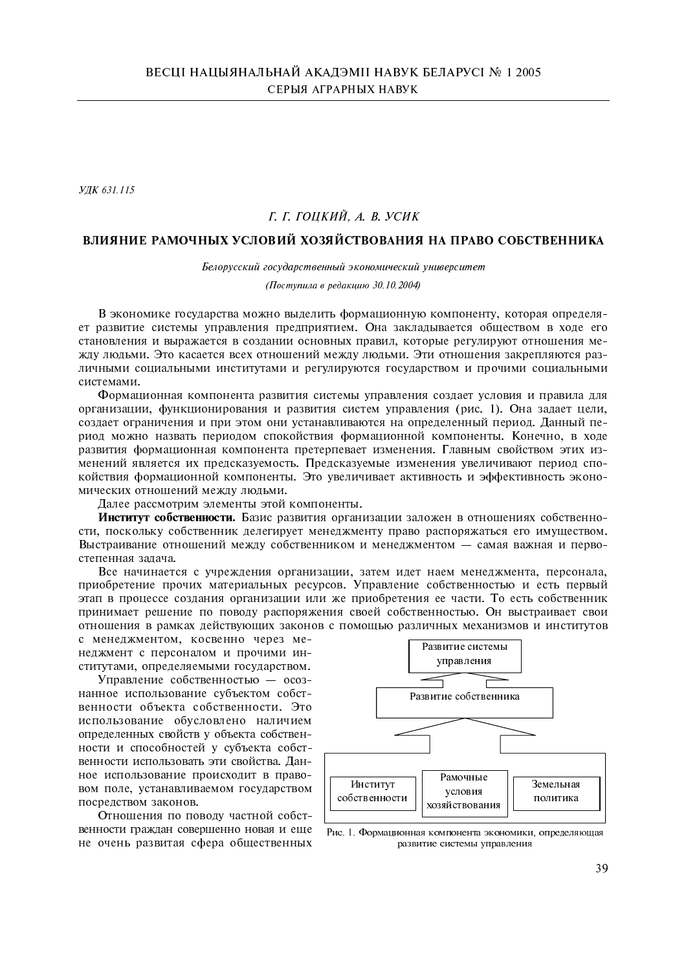УДК 631.115

## Г. Г. ГОНКИЙ, А. В. УСИК

# ВЛИЯНИЕ РАМОЧНЫХ УСЛОВИЙ ХОЗЯЙСТВОВАНИЯ НА ПРАВО СОБСТВЕННИКА

Белорусский государственный экономический университет

(Поступила в редакцию 30.10.2004)

В экономике государства можно выделить формационную компоненту, которая определяет развитие системы управления предприятием. Она закладывается обществом в ходе его становления и выражается в создании основных правил, которые регулируют отношения между людьми. Это касается всех отношений между людьми. Эти отношения закрепляются различными социальными институтами и регулируются государством и прочими социальными системами.

Формационная компонента развития системы управления создает условия и правила для организации, функционирования и развития систем управления (рис. 1). Она задает цели, создает ограничения и при этом они устанавливаются на определенный период. Данный период можно назвать периодом спокойствия формационной компоненты. Конечно, в ходе развития формационная компонента претерпевает изменения. Главным свойством этих изменений является их предсказуемость. Предсказуемые изменения увеличивают период спокойствия формационной компоненты. Это увеличивает активность и эффективность экономических отношений между людьми.

Далее рассмотрим элементы этой компоненты.

Институт собственности. Базис развития организации заложен в отношениях собственности, поскольку собственник делегирует менеджменту право распоряжаться его имуществом. Выстраивание отношений между собственником и менеджментом - самая важная и первостепенная задача.

Все начинается с учреждения организации, затем идет наем менеджмента, персонала, приобретение прочих материальных ресурсов. Управление собственностью и есть первый этап в процессе создания организации или же приобретения ее части. То есть собственник принимает решение по поводу распоряжения своей собственностью. Он выстраивает свои отношения в рамках действующих законов с помощью различных механизмов и институтов

с менеджментом, косвенно через менеджмент с персоналом и прочими институтами, определяемыми государством.

Управление собственностью - осознанное использование субъектом собственности объекта собственности. Это использование обусловлено наличием определенных свойств у объекта собственности и способностей у субъекта собственности использовать эти свойства. Данное использование происходит в правовом поле, устанавливаемом государством посредством законов.

Отношения по поводу частной собственности граждан совершенно новая и еще не очень развитая сфера общественных



Рис. 1. Формационная компонента экономики, определяющая развитие системы управления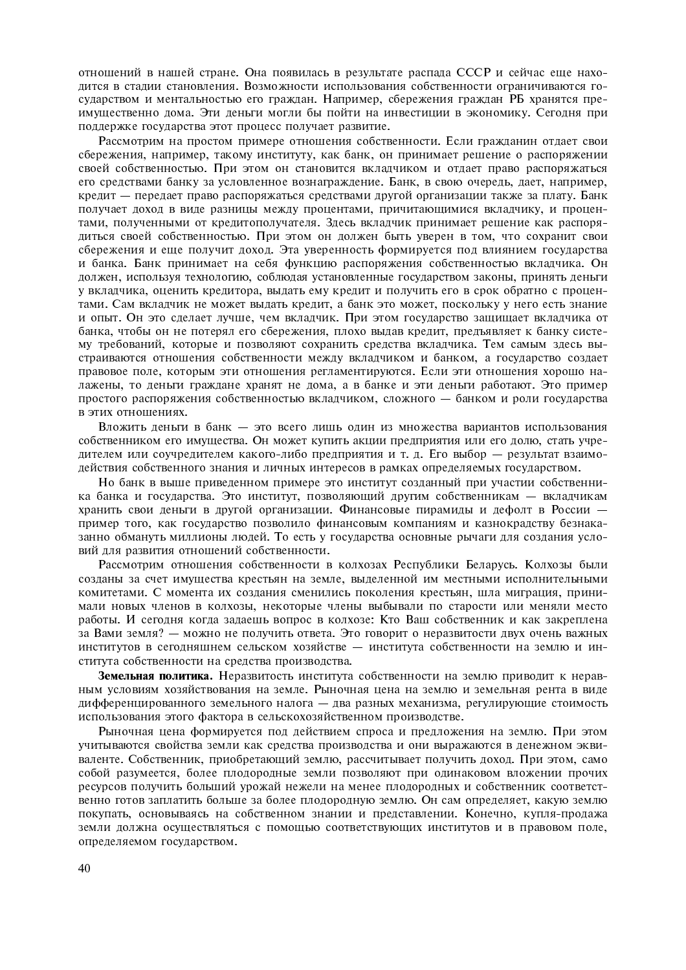отношений в нашей стране. Она появилась в результате распала СССР и сейчас еще находится в стадии становления. Возможности использования собственности ограничиваются государством и ментальностью его граждан. Например, сбережения граждан РБ хранятся преимущественно дома. Эти деньги могли бы пойти на инвестиции в экономику. Сегодня при поддержке государства этот процесс получает развитие.

Рассмотрим на простом примере отношения собственности. Если гражданин отдает свои сбережения, например, такому институту, как банк, он принимает решение о распоряжении своей собственностью. При этом он становится вкладчиком и отдает право распоряжаться его средствами банку за условленное вознаграждение. Банк, в свою очередь, дает, например, кредит - передает право распоряжаться средствами другой организации также за плату. Банк получает доход в виде разницы между процентами, причитающимися вкладчику, и процентами, полученными от кредитополучателя. Здесь вкладчик принимает решение как распорядиться своей собственностью. При этом он должен быть уверен в том, что сохранит свои сбережения и еще получит доход. Эта уверенность формируется под влиянием государства и банка. Банк принимает на себя функцию распоряжения собственностью вкладчика. Он должен, используя технологию, соблюдая установленные государством законы, принять деньги у вкладчика, оценить кредитора, выдать ему кредит и получить его в срок обратно с процентами. Сам вкладчик не может выдать кредит, а банк это может, поскольку у него есть знание и опыт. Он это сделает лучше, чем вкладчик. При этом государство защищает вкладчика от банка, чтобы он не потерял его сбережения, плохо выдав кредит, предъявляет к банку систему требований, которые и позволяют сохранить средства вкладчика. Тем самым здесь выстраиваются отношения собственности между вкладчиком и банком, а государство создает правовое поле, которым эти отношения регламентируются. Если эти отношения хорошо налажены, то деньги граждане хранят не дома, а в банке и эти деньги работают. Это пример простого распоряжения собственностью вкладчиком, сложного - банком и роли государства в этих отношениях.

Вложить деньги в банк — это всего лишь один из множества вариантов использования собственником его имущества. Он может купить акции предприятия или его долю, стать учредителем или соучредителем какого-либо предприятия и т. д. Его выбор - результат взаимодействия собственного знания и личных интересов в рамках определяемых государством.

Но банк в выше приведенном примере это институт созданный при участии собственника банка и государства. Это институт, позволяющий другим собственникам - вкладчикам хранить свои деньги в другой организации. Финансовые пирамиды и дефолт в России пример того, как государство позволило финансовым компаниям и казнокрадству безнаказанно обмануть миллионы людей. То есть у государства основные рычаги для создания условий для развития отношений собственности.

Рассмотрим отношения собственности в колхозах Республики Беларусь. Колхозы были созданы за счет имущества крестьян на земле, выделенной им местными исполнительными комитетами. С момента их создания сменились поколения крестьян, шла миграция, принимали новых членов в колхозы, некоторые члены выбывали по старости или меняли место работы. И сегодня когда задаешь вопрос в колхозе: Кто Ваш собственник и как закреплена за Вами земля? - можно не получить ответа. Это говорит о неразвитости двух очень важных институтов в сегодняшнем сельском хозяйстве - института собственности на землю и института собственности на средства производства.

Земельная политика. Неразвитость института собственности на землю приводит к неравным условиям хозяйствования на земле. Рыночная цена на землю и земельная рента в виде дифференцированного земельного налога - два разных механизма, регулирующие стоимость использования этого фактора в сельскохозяйственном производстве.

Рыночная цена формируется под действием спроса и предложения на землю. При этом учитываются свойства земли как средства производства и они выражаются в денежном эквиваленте. Собственник, приобретающий землю, рассчитывает получить доход. При этом, само собой разумеется, более плодородные земли позволяют при одинаковом вложении прочих ресурсов получить больший урожай нежели на менее плодородных и собственник соответственно готов заплатить больше за более плодородную землю. Он сам определяет, какую землю покупать, основываясь на собственном знании и представлении. Конечно, купля-продажа земли должна осуществляться с помощью соответствующих институтов и в правовом поле, определяемом государством.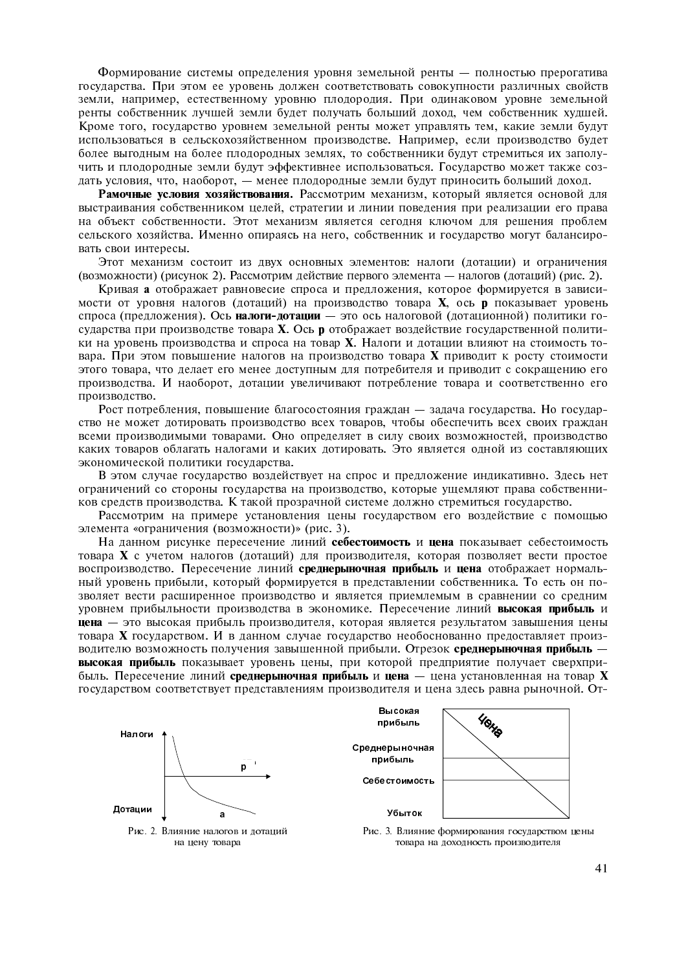Формирование системы определения уровня земельной ренты - полностью прерогатива государства. При этом ее уровень должен соответствовать совокупности различных свойств земли, например, естественному уровню плодородия. При одинаковом уровне земельной ренты собственник лучшей земли будет получать больший доход, чем собственник худшей. Кроме того, государство уровнем земельной ренты может управлять тем, какие земли будут использоваться в сельскохозяйственном производстве. Например, если производство будет более выгодным на более плодородных землях, то собственники будут стремиться их заполучить и плодородные земли будут эффективнее использоваться. Государство может также создать условия, что, наоборот, — менее плодородные земли будут приносить больший доход.

Рамочные условия хозяйствования. Рассмотрим механизм, который является основой для выстраивания собственником целей, стратегии и линии поведения при реализации его права на объект собственности. Этот механизм является сегодня ключом для решения проблем сельского хозяйства. Именно опираясь на него, собственник и государство могут балансировать свои интересы.

Этот механизм состоит из двух основных элементов: налоги (дотации) и ограничения (возможности) (рисунок 2). Рассмотрим лействие первого элемента — налогов (лотаний) (рис. 2).

Кривая а отображает равновесие спроса и предложения, которое формируется в зависимости от уровня налогов (дотаций) на производство товара **X**, ось **p** показывает уровень спроса (предложения). Ось налоги-дотации - это ось налоговой (дотационной) политики государства при производстве товара Х. Ось **р** отображает воздействие государственной политики на уровень произволства и спроса на товар **X**. Налоги и лотации влияют на стоимость товара. При этом повышение налогов на производство товара **X** приводит к росту стоимости этого товара, что делает его менее доступным для потребителя и приводит с сокращению его производства. И наоборот, дотации увеличивают потребление товара и соответственно его производство.

Рост потребления, повышение благосостояния граждан - задача государства. Но государство не может дотировать производство всех товаров, чтобы обеспечить всех своих граждан всеми производимыми товарами. Оно определяет в силу своих возможностей, производство каких товаров облагать налогами и каких лотировать. Это является одной из составляющих экономической политики государства.

В этом случае государство воздействует на спрос и предложение индикативно. Здесь нет ограничений со стороны государства на производство, которые ущемляют права собственников средств производства. К такой прозрачной системе должно стремиться государство.

Рассмотрим на примере установления цены государством его воздействие с помощью элемента «ограничения (возможности)» (рис. 3).

На данном рисунке пересечение линий себестоимость и цена показывает себестоимость товара Х с учетом налогов (дотаций) для производителя, которая позволяет вести простое воспроизводство. Пересечение линий среднерыночная прибыль и цена отображает нормальный уровень прибыли, который формируется в представлении собственника. То есть он позволяет вести расширенное производство и является приемлемым в сравнении со средним уровнем прибыльности производства в экономике. Пересечение линий высокая прибыль и цена - это высокая прибыль производителя, которая является результатом завышения цены товара Х государством. И в данном случае государство необоснованно предоставляет производителю возможность получения завышенной прибыли. Отрезок среднерыночная прибыль высокая прибыль показывает уровень цены, при которой предприятие получает сверхприбыль. Пересечение линий среднерыночная прибыль и цена — цена установленная на товар X государством соответствует представлениям производителя и цена здесь равна рыночной. От-

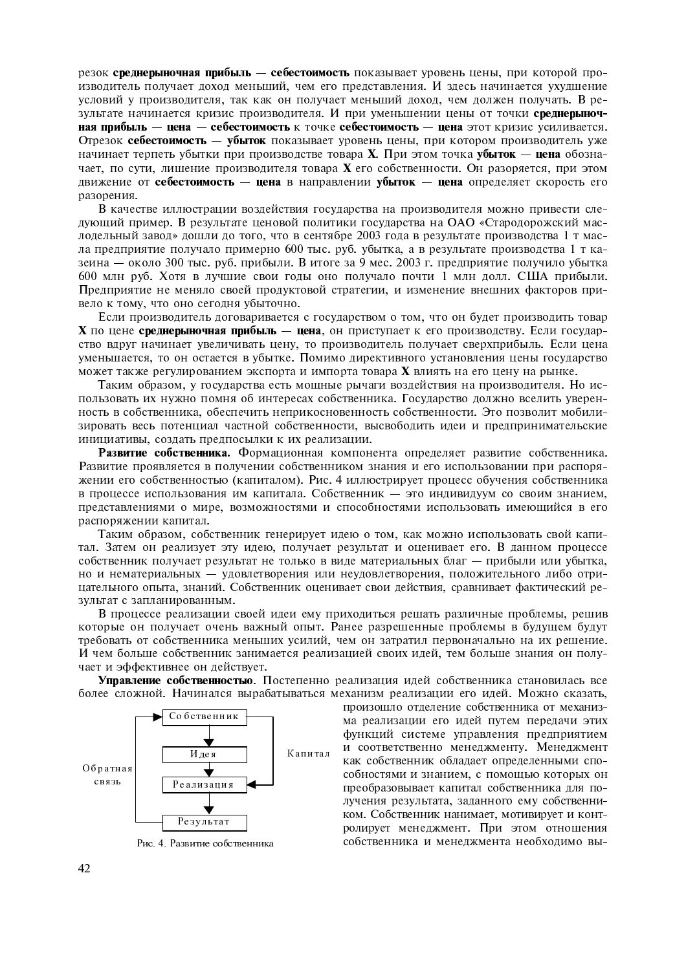резок среднерыночная прибыль - себестоимость показывает уровень цены, при которой производитель получает доход меньший, чем его представления. И здесь начинается ухудшение условий у производителя, так как он получает меньший доход, чем должен получать. В результате начинается кризис производителя. И при уменьшении цены от точки среднерыночная прибыль - цена - себестоимость к точке себестоимость - цена этот кризис усиливается. Отрезок себестоимость - убыток показывает уровень цены, при котором производитель уже начинает терпеть убытки при производстве товара **X**. При этом точка убыток — цена обозначает, по сути, лишение производителя товара **X** его собственности. Он разоряется, при этом движение от себестоимость - цена в направлении убыток - цена определяет скорость его разорения.

В качестве иллюстрации воздействия государства на производителя можно привести следующий пример. В результате ценовой политики государства на ОАО «Стародорожский маслодельный завод» дошли до того, что в сентябре 2003 года в результате производства 1 т масла предприятие получало примерно 600 тыс. руб. убытка, а в результате производства 1 т казеина - около 300 тыс. руб. прибыли. В итоге за 9 мес. 2003 г. предприятие получило убытка 600 млн руб. Хотя в лучшие свои годы оно получало почти 1 млн долл. США прибыли. Предприятие не меняло своей продуктовой стратегии, и изменение внешних факторов привело к тому, что оно сегодня убыточно.

Если производитель договаривается с государством о том, что он будет производить товар Х по цене среднерыночная прибыль - цена, он приступает к его производству. Если государство вдруг начинает увеличивать цену, то производитель получает сверхприбыль. Если цена уменьшается, то он остается в убытке. Помимо директивного установления цены государство может также регулированием экспорта и импорта товара **X** влиять на его цену на рынке.

Таким образом, у государства есть мощные рычаги воздействия на производителя. Но использовать их нужно помня об интересах собственника. Государство должно вселить уверенность в собственника, обеспечить неприкосновенность собственности. Это позволит мобилизировать весь потенциал частной собственности, высвободить идеи и предпринимательские инициативы, создать предпосылки к их реализации.

Развитие собственника. Формационная компонента определяет развитие собственника. Развитие проявляется в получении собственником знания и его использовании при распоряжении его собственностью (капиталом). Рис. 4 иллюстрирует процесс обучения собственника в процессе использования им капитала. Собственник - это индивидуум со своим знанием, представлениями о мире, возможностями и способностями использовать имеющийся в его распоряжении капитал.

Таким образом, собственник генерирует идею о том, как можно использовать свой капитал. Затем он реализует эту идею, получает результат и оценивает его. В данном процессе собственник получает результат не только в виде материальных благ - прибыли или убытка, но и нематериальных - удовлетворения или неудовлетворения, положительного либо отрицательного опыта, знаний. Собственник оценивает свои действия, сравнивает фактический результат с запланированным.

В процессе реализации своей идеи ему приходиться решать различные проблемы, решив которые он получает очень важный опыт. Ранее разрешенные проблемы в будущем будут требовать от собственника меньших усилий, чем он затратил первоначально на их решение. И чем больше собственник занимается реализацией своих идей, тем больше знания он получает и эффективнее он действует.

Управление собственностью. Постепенно реализация идей собственника становилась все более сложной. Начинался вырабатываться механизм реализации его идей. Можно сказать,



Рис. 4. Развитие собственника

произошло отделение собственника от механизма реализации его идей путем передачи этих функций системе управления предприятием и соответственно менеджменту. Менеджмент как собственник обладает определенными способностями и знанием, с помощью которых он преобразовывает капитал собственника для получения результата, заданного ему собственником. Собственник нанимает, мотивирует и контролирует менеджмент. При этом отношения собственника и менеджмента необходимо вы